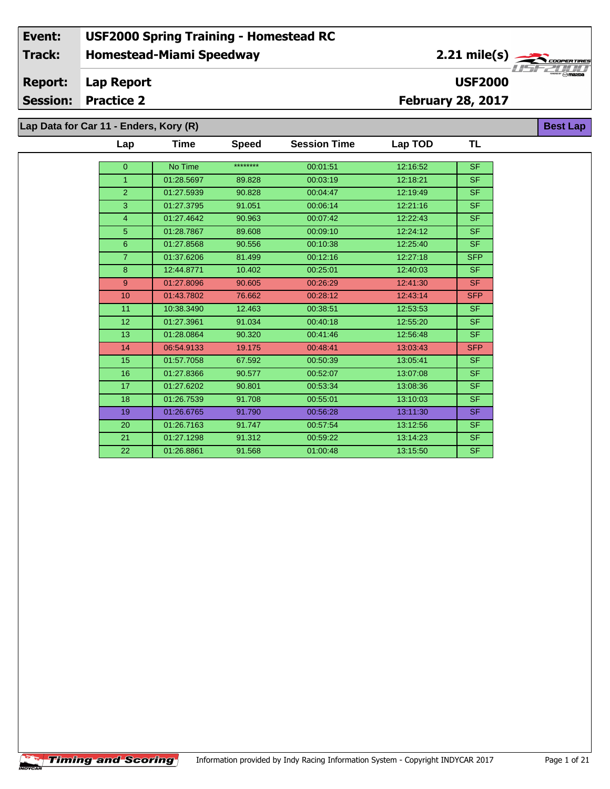# **Homestead-Miami Speedway Event: USF2000 Spring Training - Homestead RC Track:**

2.21 mile(s)

**USF2000**

**Best Lap**

#### **Lap Report Report:**

**Session: Practice 2**

**February 28, 2017**

**Lap Data for Car 11 - Enders, Kory (R)**

| Lap            | Time       | <b>Speed</b> | <b>Session Time</b> | Lap TOD  | TL         |
|----------------|------------|--------------|---------------------|----------|------------|
|                |            | ********     |                     |          |            |
| $\overline{0}$ | No Time    |              | 00:01:51            | 12:16:52 | <b>SF</b>  |
| $\overline{1}$ | 01:28.5697 | 89.828       | 00:03:19            | 12:18:21 | <b>SF</b>  |
| 2              | 01:27.5939 | 90.828       | 00:04:47            | 12:19:49 | <b>SF</b>  |
| 3              | 01:27.3795 | 91.051       | 00:06:14            | 12:21:16 | <b>SF</b>  |
| $\overline{4}$ | 01:27.4642 | 90.963       | 00:07:42            | 12:22:43 | <b>SF</b>  |
| 5              | 01:28.7867 | 89.608       | 00:09:10            | 12:24:12 | <b>SF</b>  |
| $6\phantom{1}$ | 01:27.8568 | 90.556       | 00:10:38            | 12:25:40 | <b>SF</b>  |
| $\overline{7}$ | 01:37.6206 | 81.499       | 00:12:16            | 12:27:18 | <b>SFP</b> |
| 8              | 12:44.8771 | 10.402       | 00:25:01            | 12:40:03 | <b>SF</b>  |
| 9              | 01:27.8096 | 90.605       | 00:26:29            | 12:41:30 | <b>SF</b>  |
| 10             | 01:43.7802 | 76.662       | 00:28:12            | 12:43:14 | <b>SFP</b> |
| 11             | 10:38.3490 | 12.463       | 00:38:51            | 12:53:53 | <b>SF</b>  |
| 12             | 01:27.3961 | 91.034       | 00:40:18            | 12:55:20 | <b>SF</b>  |
| 13             | 01:28.0864 | 90.320       | 00:41:46            | 12:56:48 | <b>SF</b>  |
| 14             | 06:54.9133 | 19.175       | 00:48:41            | 13:03:43 | <b>SFP</b> |
| 15             | 01:57.7058 | 67.592       | 00:50:39            | 13:05:41 | <b>SF</b>  |
| 16             | 01:27.8366 | 90.577       | 00:52:07            | 13:07:08 | SF.        |
| 17             | 01:27.6202 | 90.801       | 00:53:34            | 13:08:36 | <b>SF</b>  |
| 18             | 01:26.7539 | 91.708       | 00:55:01            | 13:10:03 | SF.        |
| 19             | 01:26.6765 | 91.790       | 00:56:28            | 13:11:30 | SF.        |
| 20             | 01:26.7163 | 91.747       | 00:57:54            | 13:12:56 | SF.        |
| 21             | 01:27.1298 | 91.312       | 00:59:22            | 13:14:23 | <b>SF</b>  |
| 22             | 01:26.8861 | 91.568       | 01:00:48            | 13:15:50 | <b>SF</b>  |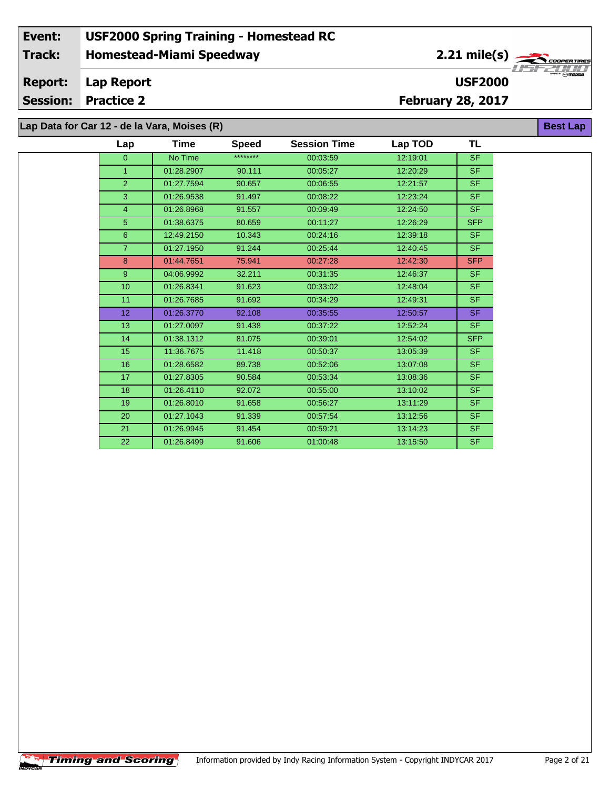**Lap Data for Car 12 - de la Vara, Moises (R)**

 $\overline{\phantom{a}}$ 

| Lap             | Time       | <b>Speed</b> | <b>Session Time</b> | Lap TOD  | <b>TL</b>  |
|-----------------|------------|--------------|---------------------|----------|------------|
| $\overline{0}$  | No Time    | ********     | 00:03:59            | 12:19:01 | <b>SF</b>  |
| $\mathbf{1}$    | 01:28.2907 | 90.111       | 00:05:27            | 12:20:29 | <b>SF</b>  |
| $\overline{2}$  | 01:27.7594 | 90.657       | 00:06:55            | 12:21:57 | <b>SF</b>  |
| 3               | 01:26.9538 | 91.497       | 00:08:22            | 12:23:24 | <b>SF</b>  |
| 4               | 01:26.8968 | 91.557       | 00:09:49            | 12:24:50 | <b>SF</b>  |
| 5               | 01:38.6375 | 80.659       | 00:11:27            | 12:26:29 | <b>SFP</b> |
| 6               | 12:49.2150 | 10.343       | 00:24:16            | 12:39:18 | <b>SF</b>  |
| $\overline{7}$  | 01:27.1950 | 91.244       | 00:25:44            | 12:40:45 | <b>SF</b>  |
| 8               | 01:44.7651 | 75.941       | 00:27:28            | 12:42:30 | <b>SFP</b> |
| 9               | 04:06.9992 | 32.211       | 00:31:35            | 12:46:37 | <b>SF</b>  |
| 10 <sup>1</sup> | 01:26.8341 | 91.623       | 00:33:02            | 12:48:04 | <b>SF</b>  |
| 11              | 01:26.7685 | 91.692       | 00:34:29            | 12:49:31 | <b>SF</b>  |
| 12 <sup>2</sup> | 01:26.3770 | 92.108       | 00:35:55            | 12:50:57 | <b>SF</b>  |
| 13              | 01:27.0097 | 91.438       | 00:37:22            | 12:52:24 | <b>SF</b>  |
| 14              | 01:38.1312 | 81.075       | 00:39:01            | 12:54:02 | <b>SFP</b> |
| 15              | 11:36.7675 | 11.418       | 00:50:37            | 13:05:39 | <b>SF</b>  |
| 16              | 01:28.6582 | 89.738       | 00:52:06            | 13:07:08 | <b>SF</b>  |
| 17              | 01:27.8305 | 90.584       | 00:53:34            | 13:08:36 | <b>SF</b>  |
| 18              | 01:26.4110 | 92.072       | 00:55:00            | 13:10:02 | <b>SF</b>  |
| 19              | 01:26.8010 | 91.658       | 00:56:27            | 13:11:29 | <b>SF</b>  |
| 20              | 01:27.1043 | 91.339       | 00:57:54            | 13:12:56 | <b>SF</b>  |
| 21              | 01:26.9945 | 91.454       | 00:59:21            | 13:14:23 | <b>SF</b>  |
| 22              | 01:26.8499 | 91.606       | 01:00:48            | 13:15:50 | <b>SF</b>  |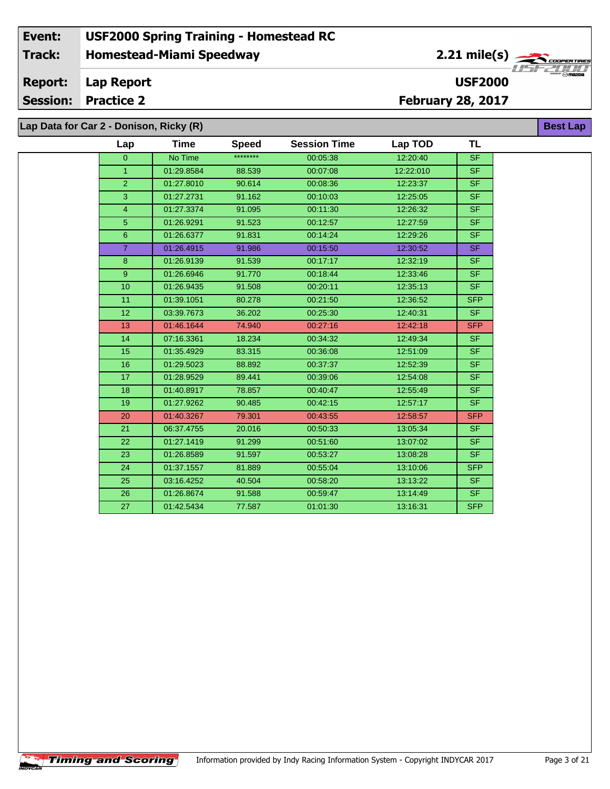$\overline{\phantom{a}}$ 

| Lap             | Time       | <b>Speed</b> | <b>Session Time</b> | Lap TOD   | <b>TL</b>  |
|-----------------|------------|--------------|---------------------|-----------|------------|
| $\overline{0}$  | No Time    | ********     | 00:05:38            | 12:20:40  | <b>SF</b>  |
| $\mathbf{1}$    | 01:29.8584 | 88.539       | 00:07:08            | 12:22:010 | <b>SF</b>  |
| $\overline{2}$  | 01:27.8010 | 90.614       | 00:08:36            | 12:23:37  | <b>SF</b>  |
| 3               | 01:27.2731 | 91.162       | 00:10:03            | 12:25:05  | SF.        |
| $\overline{4}$  | 01:27.3374 | 91.095       | 00:11:30            | 12:26:32  | <b>SF</b>  |
| 5 <sup>5</sup>  | 01:26.9291 | 91.523       | 00:12:57            | 12:27:59  | <b>SF</b>  |
| 6               | 01:26.6377 | 91.831       | 00:14:24            | 12:29:26  | <b>SF</b>  |
| $\overline{7}$  | 01:26.4915 | 91.986       | 00:15:50            | 12:30:52  | SF.        |
| 8               | 01:26.9139 | 91.539       | 00:17:17            | 12:32:19  | <b>SF</b>  |
| 9 <sup>°</sup>  | 01:26.6946 | 91.770       | 00:18:44            | 12:33:46  | <b>SF</b>  |
| 10 <sup>1</sup> | 01:26.9435 | 91.508       | 00:20:11            | 12:35:13  | <b>SF</b>  |
| 11              | 01:39.1051 | 80.278       | 00:21:50            | 12:36:52  | SFP        |
| 12 <sub>2</sub> | 03:39.7673 | 36.202       | 00:25:30            | 12:40:31  | SF.        |
| 13              | 01:46.1644 | 74.940       | 00:27:16            | 12:42:18  | <b>SFP</b> |
| 14              | 07:16.3361 | 18.234       | 00:34:32            | 12:49:34  | SF.        |
| 15              | 01:35.4929 | 83.315       | 00:36:08            | 12:51:09  | SF.        |
| 16              | 01:29.5023 | 88.892       | 00:37:37            | 12:52:39  | SF         |
| 17              | 01:28.9529 | 89.441       | 00:39:06            | 12:54:08  | SF.        |
| 18              | 01:40.8917 | 78.857       | 00:40:47            | 12:55:49  | <b>SF</b>  |
| 19              | 01:27.9262 | 90.485       | 00:42:15            | 12:57:17  | <b>SF</b>  |
| 20              | 01:40.3267 | 79.301       | 00:43:55            | 12:58:57  | <b>SFP</b> |
| 21              | 06:37.4755 | 20.016       | 00:50:33            | 13:05:34  | <b>SF</b>  |
| 22              | 01:27.1419 | 91.299       | 00:51:60            | 13:07:02  | SF.        |
| 23              | 01:26.8589 | 91.597       | 00:53:27            | 13:08:28  | <b>SF</b>  |
| 24              | 01:37.1557 | 81.889       | 00:55:04            | 13:10:06  | <b>SFP</b> |
| 25              | 03:16.4252 | 40.504       | 00:58:20            | 13:13:22  | SF.        |
| 26              | 01:26.8674 | 91.588       | 00:59:47            | 13:14:49  | <b>SF</b>  |
| 27              | 01:42.5434 | 77.587       | 01:01:30            | 13:16:31  | <b>SFP</b> |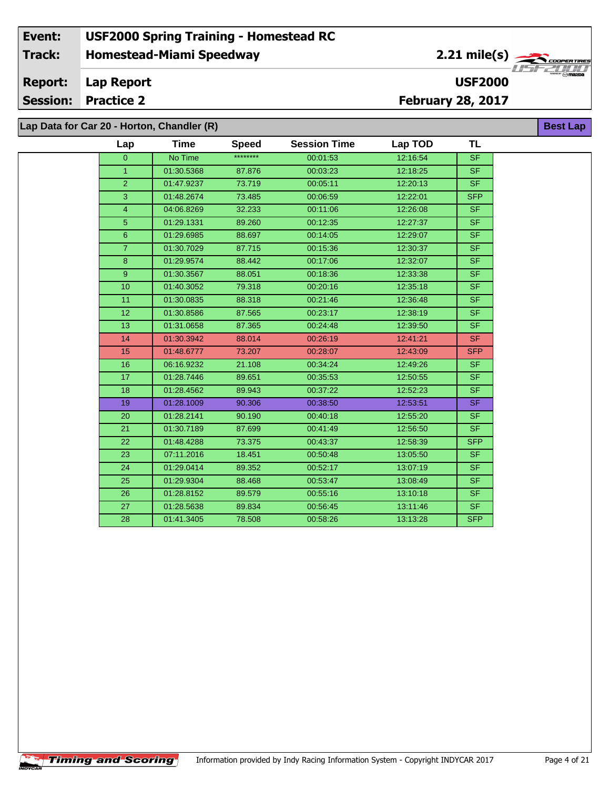#### **Event: USF2000 Spring Training - Homestead RC 2.21 mile(s) Track: Homestead-Miami Speedway** COOPERTIRE **Report: Lap Report USF2000 Session: Practice 2 February 28, 2017**

**Lap Data for Car 20 - Horton, Chandler (R)**

**Timing and Scoring** 

÷.

|                | ata for Car 20 - Horton, Chandler (R) |              |                     |          |                          | <b>Best Lap</b> |
|----------------|---------------------------------------|--------------|---------------------|----------|--------------------------|-----------------|
| Lap            | <b>Time</b>                           | <b>Speed</b> | <b>Session Time</b> | Lap TOD  | TL                       |                 |
| $\overline{0}$ | No Time                               | ********     | 00:01:53            | 12:16:54 | $\overline{\mathsf{SF}}$ |                 |
| $\mathbf{1}$   | 01:30.5368                            | 87.876       | 00:03:23            | 12:18:25 | SF.                      |                 |
| $\overline{2}$ | 01:47.9237                            | 73.719       | 00:05:11            | 12:20:13 | <b>SF</b>                |                 |
| 3              | 01:48.2674                            | 73.485       | 00:06:59            | 12:22:01 | SFP                      |                 |
| $\overline{4}$ | 04:06.8269                            | 32.233       | 00:11:06            | 12:26:08 | SF.                      |                 |
| 5 <sub>5</sub> | 01:29.1331                            | 89.260       | 00:12:35            | 12:27:37 | <b>SF</b>                |                 |
| 6              | 01:29.6985                            | 88.697       | 00:14:05            | 12:29:07 | SF.                      |                 |
| $\overline{7}$ | 01:30.7029                            | 87.715       | 00:15:36            | 12:30:37 | <b>SF</b>                |                 |
| $\bf 8$        | 01:29.9574                            | 88.442       | 00:17:06            | 12:32:07 | SF.                      |                 |
| 9              | 01:30.3567                            | 88.051       | 00:18:36            | 12:33:38 | <b>SF</b>                |                 |
| 10             | 01:40.3052                            | 79.318       | 00:20:16            | 12:35:18 | <b>SF</b>                |                 |
| 11             | 01:30.0835                            | 88.318       | 00:21:46            | 12:36:48 | SF.                      |                 |
| 12             | 01:30.8586                            | 87.565       | 00:23:17            | 12:38:19 | <b>SF</b>                |                 |
| 13             | 01:31.0658                            | 87.365       | 00:24:48            | 12:39:50 | <b>SF</b>                |                 |
| 14             | 01:30.3942                            | 88.014       | 00:26:19            | 12:41:21 | <b>SF</b>                |                 |
| 15             | 01:48.6777                            | 73.207       | 00:28:07            | 12:43:09 | <b>SFP</b>               |                 |
| 16             | 06:16.9232                            | 21.108       | 00:34:24            | 12:49:26 | SF.                      |                 |
| 17             | 01:28.7446                            | 89.651       | 00:35:53            | 12:50:55 | <b>SF</b>                |                 |
| 18             | 01:28.4562                            | 89.943       | 00:37:22            | 12:52:23 | <b>SF</b>                |                 |
| 19             | 01:28.1009                            | 90.306       | 00:38:50            | 12:53:51 | SF.                      |                 |
| 20             | 01:28.2141                            | 90.190       | 00:40:18            | 12:55:20 | <b>SF</b>                |                 |
| 21             | 01:30.7189                            | 87.699       | 00:41:49            | 12:56:50 | <b>SF</b>                |                 |
| 22             | 01:48.4288                            | 73.375       | 00:43:37            | 12:58:39 | <b>SFP</b>               |                 |
| 23             | 07:11.2016                            | 18.451       | 00:50:48            | 13:05:50 | SF.                      |                 |
| 24             | 01:29.0414                            | 89.352       | 00:52:17            | 13:07:19 | <b>SF</b>                |                 |
| 25             | 01:29.9304                            | 88.468       | 00:53:47            | 13:08:49 | SF.                      |                 |
| 26             | 01:28.8152                            | 89.579       | 00:55:16            | 13:10:18 | <b>SF</b>                |                 |
| 27             | 01:28.5638                            | 89.834       | 00:56:45            | 13:11:46 | <b>SF</b>                |                 |
| 28             | 01:41.3405                            | 78.508       | 00:58:26            | 13:13:28 | SFP                      |                 |
|                |                                       |              |                     |          |                          |                 |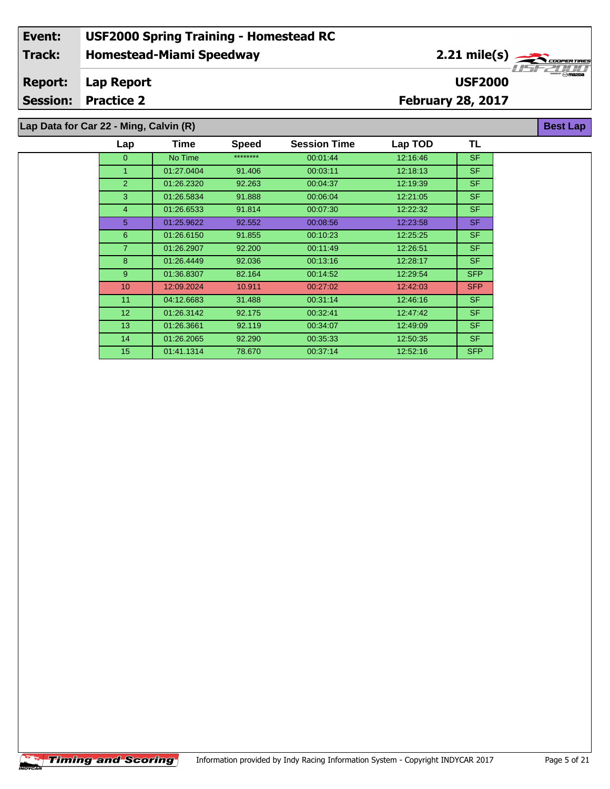**Lap Data for Car 22 - Ming, Calvin (R)**

| Lap            | Time       | <b>Speed</b> | <b>Session Time</b> | Lap TOD  | TL         |
|----------------|------------|--------------|---------------------|----------|------------|
| $\Omega$       | No Time    | ********     | 00:01:44            | 12:16:46 | <b>SF</b>  |
| 1              | 01:27.0404 | 91.406       | 00:03:11            | 12:18:13 | <b>SF</b>  |
| $\overline{2}$ | 01:26.2320 | 92.263       | 00:04:37            | 12:19:39 | <b>SF</b>  |
| 3              | 01:26.5834 | 91.888       | 00:06:04            | 12:21:05 | <b>SF</b>  |
| $\overline{4}$ | 01:26.6533 | 91.814       | 00:07:30            | 12:22:32 | <b>SF</b>  |
| 5              | 01:25.9622 | 92.552       | 00:08:56            | 12:23:58 | SF.        |
| 6              | 01:26.6150 | 91.855       | 00:10:23            | 12:25:25 | <b>SF</b>  |
| $\overline{7}$ | 01:26.2907 | 92.200       | 00:11:49            | 12:26:51 | SF.        |
| 8              | 01:26.4449 | 92.036       | 00:13:16            | 12:28:17 | SF.        |
| 9 <sup>°</sup> | 01:36.8307 | 82.164       | 00:14:52            | 12:29:54 | <b>SFP</b> |
| 10             | 12:09.2024 | 10.911       | 00:27:02            | 12:42:03 | <b>SFP</b> |
| 11             | 04:12.6683 | 31.488       | 00:31:14            | 12:46:16 | SF.        |
| 12             | 01:26.3142 | 92.175       | 00:32:41            | 12:47:42 | <b>SF</b>  |
| 13             | 01:26.3661 | 92.119       | 00:34:07            | 12:49:09 | SF.        |
| 14             | 01:26.2065 | 92.290       | 00:35:33            | 12:50:35 | SF.        |
| 15             | 01:41.1314 | 78.670       | 00:37:14            | 12:52:16 | <b>SFP</b> |

 $\overline{\phantom{a}}$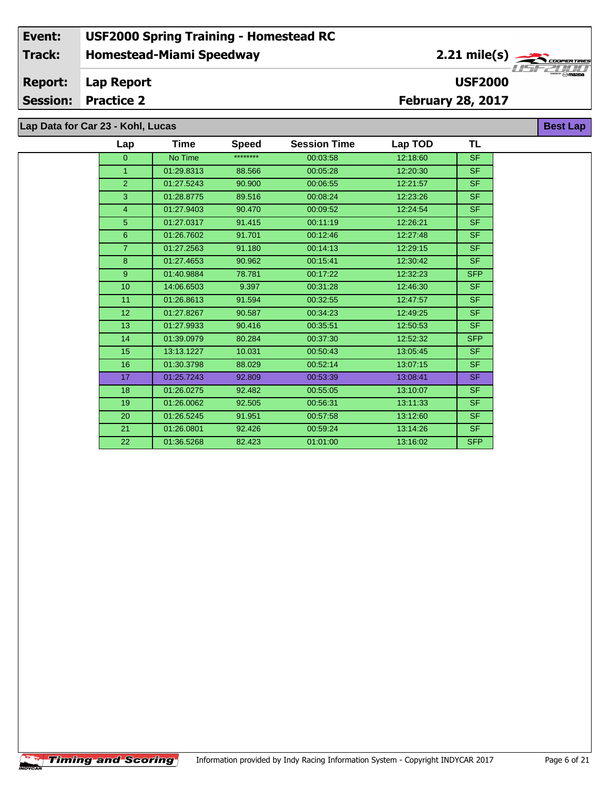# **Lap Data for Car 23 - Kohl, Lucas**

 $\overline{\phantom{a}}$ 

| Lap             | Time       | <b>Speed</b> | <b>Session Time</b> | Lap TOD  | TL         |
|-----------------|------------|--------------|---------------------|----------|------------|
| $\overline{0}$  | No Time    | ********     | 00:03:58            | 12:18:60 | <b>SF</b>  |
| $\mathbf{1}$    | 01:29.8313 | 88.566       | 00:05:28            | 12:20:30 | <b>SF</b>  |
| $\overline{2}$  | 01:27.5243 | 90.900       | 00:06:55            | 12:21:57 | <b>SF</b>  |
| 3               | 01:28.8775 | 89.516       | 00:08:24            | 12:23:26 | <b>SF</b>  |
| $\overline{4}$  | 01:27.9403 | 90.470       | 00:09:52            | 12:24:54 | <b>SF</b>  |
| 5               | 01:27.0317 | 91.415       | 00:11:19            | 12:26:21 | <b>SF</b>  |
| 6               | 01:26.7602 | 91.701       | 00:12:46            | 12:27:48 | <b>SF</b>  |
| $\overline{7}$  | 01:27.2563 | 91.180       | 00:14:13            | 12:29:15 | <b>SF</b>  |
| 8               | 01:27.4653 | 90.962       | 00:15:41            | 12:30:42 | <b>SF</b>  |
| $\overline{9}$  | 01:40.9884 | 78.781       | 00:17:22            | 12:32:23 | <b>SFP</b> |
| 10              | 14:06.6503 | 9.397        | 00:31:28            | 12:46:30 | <b>SF</b>  |
| 11              | 01:26.8613 | 91.594       | 00:32:55            | 12:47:57 | <b>SF</b>  |
| 12              | 01:27.8267 | 90.587       | 00:34:23            | 12:49:25 | <b>SF</b>  |
| 13 <sup>2</sup> | 01:27.9933 | 90.416       | 00:35:51            | 12:50:53 | <b>SF</b>  |
| 14              | 01:39.0979 | 80.284       | 00:37:30            | 12:52:32 | <b>SFP</b> |
| 15              | 13:13.1227 | 10.031       | 00:50:43            | 13:05:45 | <b>SF</b>  |
| 16              | 01:30.3798 | 88.029       | 00:52:14            | 13:07:15 | <b>SF</b>  |
| 17              | 01:25.7243 | 92.809       | 00:53:39            | 13:08:41 | <b>SF</b>  |
| 18              | 01:26.0275 | 92.482       | 00:55:05            | 13:10:07 | <b>SF</b>  |
| 19              | 01:26.0062 | 92.505       | 00:56:31            | 13:11:33 | <b>SF</b>  |
| 20              | 01:26.5245 | 91.951       | 00:57:58            | 13:12:60 | <b>SF</b>  |
| 21              | 01:26.0801 | 92.426       | 00:59:24            | 13:14:26 | <b>SF</b>  |
| 22              | 01:36.5268 | 82.423       | 01:01:00            | 13:16:02 | <b>SFP</b> |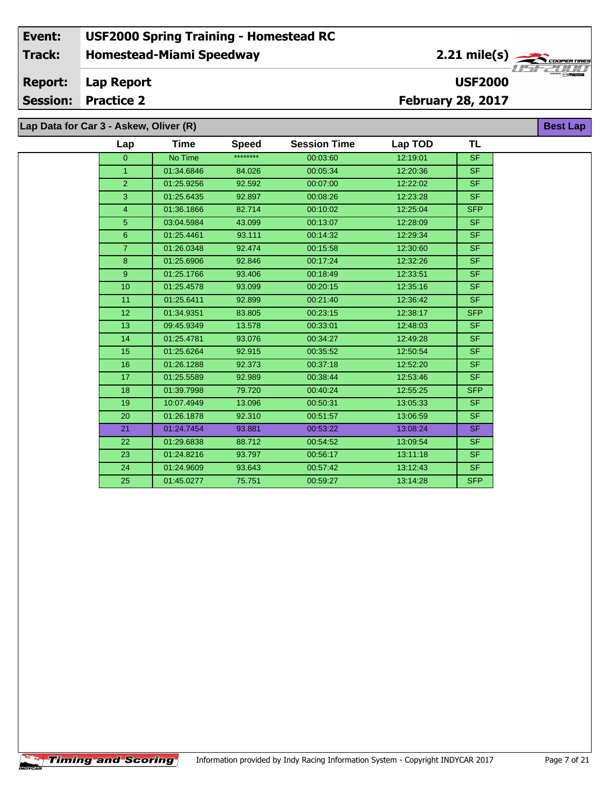**Lap Data for Car 3 - Askew, Oliver (R)**

÷.

| Lap             | Time       | <b>Speed</b> | <b>Session Time</b> | Lap TOD  | TL         |
|-----------------|------------|--------------|---------------------|----------|------------|
| $\mathbf{0}$    | No Time    | ********     | 00:03:60            | 12:19:01 | <b>SF</b>  |
| 1 <sup>1</sup>  | 01:34.6846 | 84.026       | 00:05:34            | 12:20:36 | <b>SF</b>  |
| $\overline{2}$  | 01:25.9256 | 92.592       | 00:07:00            | 12:22:02 | <b>SF</b>  |
| 3               | 01:25.6435 | 92.897       | 00:08:26            | 12:23:28 | <b>SF</b>  |
| $\overline{4}$  | 01:36.1866 | 82.714       | 00:10:02            | 12:25:04 | <b>SFP</b> |
| 5               | 03:04.5984 | 43.099       | 00:13:07            | 12:28:09 | <b>SF</b>  |
| $6^{\circ}$     | 01:25.4461 | 93.111       | 00:14:32            | 12:29:34 | <b>SF</b>  |
| 7 <sup>1</sup>  | 01:26.0348 | 92.474       | 00:15:58            | 12:30:60 | <b>SF</b>  |
| 8               | 01:25.6906 | 92.846       | 00:17:24            | 12:32:26 | <b>SF</b>  |
| 9 <sup>°</sup>  | 01:25.1766 | 93.406       | 00:18:49            | 12:33:51 | SF.        |
| 10              | 01:25.4578 | 93.099       | 00:20:15            | 12:35:16 | <b>SF</b>  |
| 11              | 01:25.6411 | 92.899       | 00:21:40            | 12:36:42 | <b>SF</b>  |
| 12 <sup>°</sup> | 01:34.9351 | 83.805       | 00:23:15            | 12:38:17 | <b>SFP</b> |
| 13              | 09:45.9349 | 13.578       | 00:33:01            | 12:48:03 | <b>SF</b>  |
| 14              | 01:25.4781 | 93.076       | 00:34:27            | 12:49:28 | <b>SF</b>  |
| 15              | 01:25.6264 | 92.915       | 00:35:52            | 12:50:54 | <b>SF</b>  |
| 16              | 01:26.1288 | 92.373       | 00:37:18            | 12:52:20 | <b>SF</b>  |
| 17              | 01:25.5589 | 92.989       | 00:38:44            | 12:53:46 | <b>SF</b>  |
| 18              | 01:39.7998 | 79.720       | 00:40:24            | 12:55:25 | <b>SFP</b> |
| 19              | 10:07.4949 | 13.096       | 00:50:31            | 13:05:33 | <b>SF</b>  |
| 20              | 01:26.1878 | 92.310       | 00:51:57            | 13:06:59 | <b>SF</b>  |
| 21              | 01:24.7454 | 93.881       | 00:53:22            | 13:08:24 | <b>SF</b>  |
| 22              | 01:29.6838 | 88.712       | 00:54:52            | 13:09:54 | SF.        |
| 23              | 01:24.8216 | 93.797       | 00:56:17            | 13:11:18 | <b>SF</b>  |
| 24              | 01:24.9609 | 93.643       | 00:57:42            | 13:12:43 | <b>SF</b>  |
| 25              | 01:45.0277 | 75.751       | 00:59:27            | 13:14:28 | <b>SFP</b> |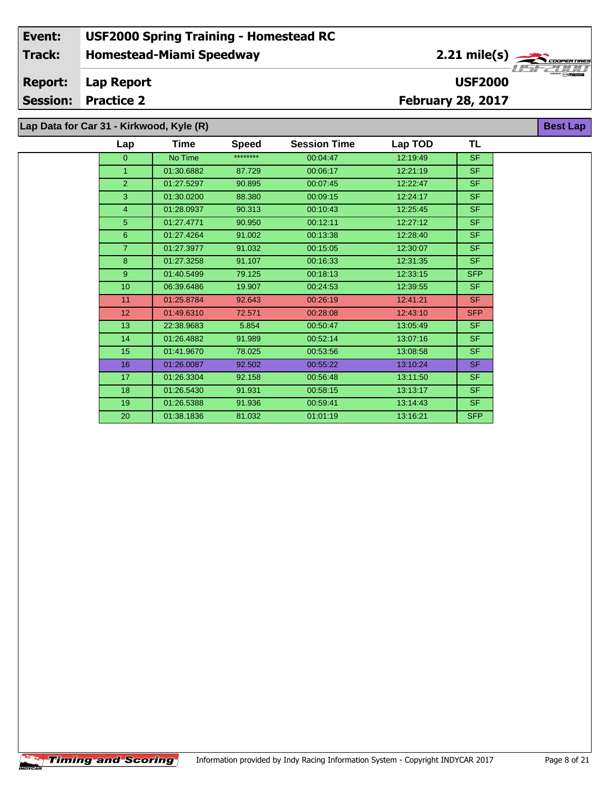**Lap Data for Car 31 - Kirkwood, Kyle (R)**

 $\overline{\phantom{a}}$ 

| Lap             | Time       | <b>Speed</b> | <b>Session Time</b> | Lap TOD  | TL         |
|-----------------|------------|--------------|---------------------|----------|------------|
| $\mathbf{0}$    | No Time    | ********     | 00:04:47            | 12:19:49 | <b>SF</b>  |
| $\overline{1}$  | 01:30.6882 | 87.729       | 00:06:17            | 12:21:19 | <b>SF</b>  |
| $\overline{2}$  | 01:27.5297 | 90.895       | 00:07:45            | 12:22:47 | <b>SF</b>  |
| 3               | 01:30.0200 | 88.380       | 00:09:15            | 12:24:17 | <b>SF</b>  |
| $\overline{4}$  | 01:28.0937 | 90.313       | 00:10:43            | 12:25:45 | <b>SF</b>  |
| $5\phantom{.}$  | 01:27.4771 | 90.950       | 00:12:11            | 12:27:12 | <b>SF</b>  |
| 6               | 01:27.4264 | 91.002       | 00:13:38            | 12:28:40 | <b>SF</b>  |
| $\overline{7}$  | 01:27.3977 | 91.032       | 00:15:05            | 12:30:07 | <b>SF</b>  |
| 8               | 01:27.3258 | 91.107       | 00:16:33            | 12:31:35 | <b>SF</b>  |
| 9               | 01:40.5499 | 79.125       | 00:18:13            | 12:33:15 | <b>SFP</b> |
| 10 <sup>°</sup> | 06:39.6486 | 19.907       | 00:24:53            | 12:39:55 | <b>SF</b>  |
| 11              | 01:25.8784 | 92.643       | 00:26:19            | 12:41:21 | <b>SF</b>  |
| 12              | 01:49.6310 | 72.571       | 00:28:08            | 12:43:10 | <b>SFP</b> |
| 13              | 22:38.9683 | 5.854        | 00:50:47            | 13:05:49 | <b>SF</b>  |
| 14              | 01:26.4882 | 91.989       | 00:52:14            | 13:07:16 | <b>SF</b>  |
| 15              | 01:41.9670 | 78.025       | 00:53:56            | 13:08:58 | <b>SF</b>  |
| 16              | 01:26.0087 | 92.502       | 00:55:22            | 13:10:24 | <b>SF</b>  |
| 17              | 01:26.3304 | 92.158       | 00:56:48            | 13:11:50 | <b>SF</b>  |
| 18              | 01:26.5430 | 91.931       | 00:58:15            | 13:13:17 | <b>SF</b>  |
| 19              | 01:26.5388 | 91.936       | 00:59:41            | 13:14:43 | <b>SF</b>  |
| 20              | 01:38.1836 | 81.032       | 01:01:19            | 13:16:21 | <b>SFP</b> |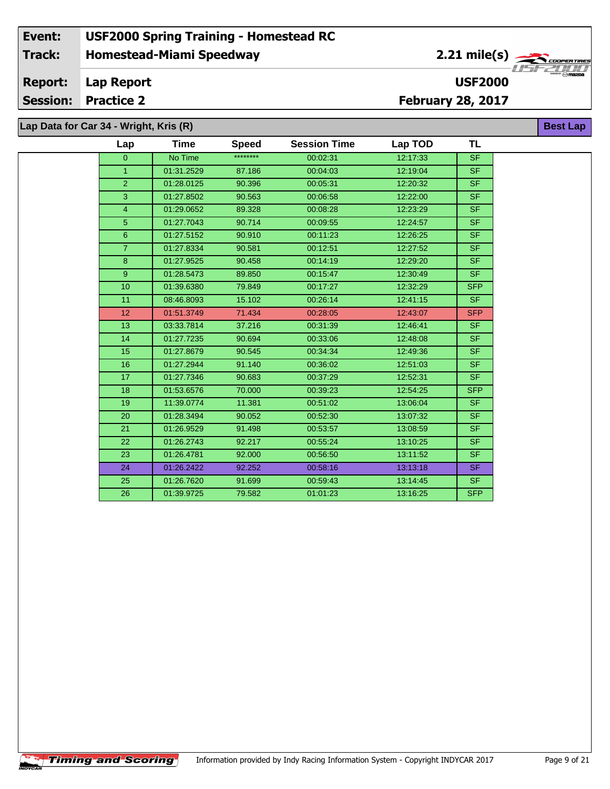**Lap Data for Car 34 - Wright, Kris (R)**

| Lap              | <b>Time</b> | <b>Speed</b> | <b>Session Time</b> | Lap TOD  | <b>TL</b>  |
|------------------|-------------|--------------|---------------------|----------|------------|
| $\overline{0}$   | No Time     | ********     | 00:02:31            | 12:17:33 | <b>SF</b>  |
| $\overline{1}$   | 01:31.2529  | 87.186       | 00:04:03            | 12:19:04 | SF.        |
| $\overline{2}$   | 01:28.0125  | 90.396       | 00:05:31            | 12:20:32 | SF.        |
| 3                | 01:27.8502  | 90.563       | 00:06:58            | 12:22:00 | SF.        |
| $\overline{4}$   | 01:29.0652  | 89.328       | 00:08:28            | 12:23:29 | SF.        |
| 5                | 01:27.7043  | 90.714       | 00:09:55            | 12:24:57 | SF.        |
| $\boldsymbol{6}$ | 01:27.5152  | 90.910       | 00:11:23            | 12:26:25 | SF.        |
| $\overline{7}$   | 01:27.8334  | 90.581       | 00:12:51            | 12:27:52 | SF.        |
| 8                | 01:27.9525  | 90.458       | 00:14:19            | 12:29:20 | SF.        |
| 9                | 01:28.5473  | 89.850       | 00:15:47            | 12:30:49 | SF.        |
| 10               | 01:39.6380  | 79.849       | 00:17:27            | 12:32:29 | <b>SFP</b> |
| 11               | 08:46.8093  | 15.102       | 00:26:14            | 12:41:15 | SF.        |
| 12 <sup>2</sup>  | 01:51.3749  | 71.434       | 00:28:05            | 12:43:07 | <b>SFP</b> |
| 13               | 03:33.7814  | 37.216       | 00:31:39            | 12:46:41 | SF.        |
| 14               | 01:27.7235  | 90.694       | 00:33:06            | 12:48:08 | SF.        |
| 15               | 01:27.8679  | 90.545       | 00:34:34            | 12:49:36 | <b>SF</b>  |
| 16               | 01:27.2944  | 91.140       | 00:36:02            | 12:51:03 | SF.        |
| 17               | 01:27.7346  | 90.683       | 00:37:29            | 12:52:31 | SF.        |
| 18               | 01:53.6576  | 70.000       | 00:39:23            | 12:54:25 | <b>SFP</b> |
| 19               | 11:39.0774  | 11.381       | 00:51:02            | 13:06:04 | SF.        |
| 20               | 01:28.3494  | 90.052       | 00:52:30            | 13:07:32 | <b>SF</b>  |
| 21               | 01:26.9529  | 91.498       | 00:53:57            | 13:08:59 | SF.        |
| 22               | 01:26.2743  | 92.217       | 00:55:24            | 13:10:25 | SF.        |
| 23               | 01:26.4781  | 92.000       | 00:56:50            | 13:11:52 | SF.        |
| 24               | 01:26.2422  | 92.252       | 00:58:16            | 13:13:18 | SF.        |
| 25               | 01:26.7620  | 91.699       | 00:59:43            | 13:14:45 | SF.        |
| 26               | 01:39.9725  | 79.582       | 01:01:23            | 13:16:25 | <b>SFP</b> |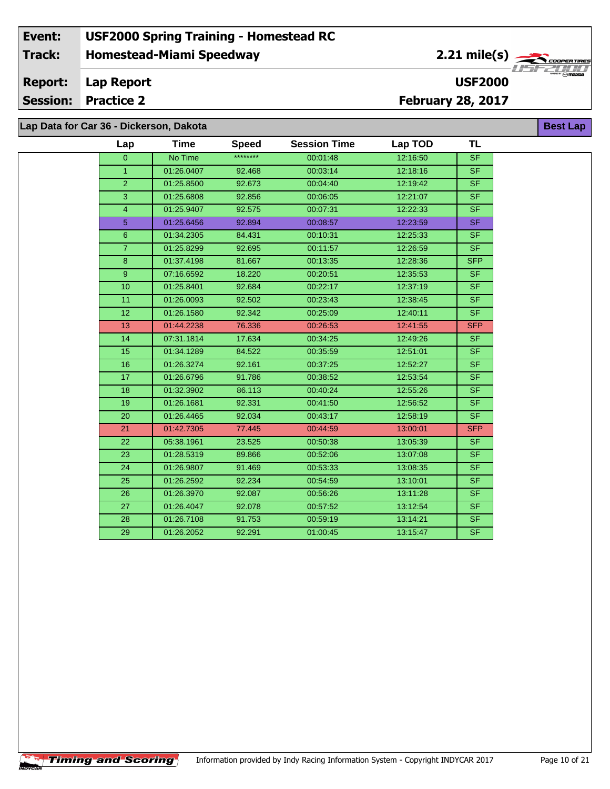|  |  |  |  | Lap Data for Car 36 - Dickerson, Dakota |  |
|--|--|--|--|-----------------------------------------|--|
|--|--|--|--|-----------------------------------------|--|

**Timing and Scoring** 

 $\overline{\phantom{a}}$ 

| Lap            | <b>Time</b> | <b>Speed</b> | <b>Session Time</b> | Lap TOD  | TL                       |
|----------------|-------------|--------------|---------------------|----------|--------------------------|
| $\overline{0}$ | No Time     | ********     | 00:01:48            | 12:16:50 | SF                       |
| $\mathbf{1}$   | 01:26.0407  | 92.468       | 00:03:14            | 12:18:16 | <b>SF</b>                |
| $\overline{2}$ | 01:25.8500  | 92.673       | 00:04:40            | 12:19:42 | $\overline{\mathsf{SF}}$ |
| $\mathbf{3}$   | 01:25.6808  | 92.856       | 00:06:05            | 12:21:07 | SF.                      |
| 4              | 01:25.9407  | 92.575       | 00:07:31            | 12:22:33 | <b>SF</b>                |
| 5 <sub>5</sub> | 01:25.6456  | 92.894       | 00:08:57            | 12:23:59 | <b>SF</b>                |
| $6\phantom{1}$ | 01:34.2305  | 84.431       | 00:10:31            | 12:25:33 | SF.                      |
| $\overline{7}$ | 01:25.8299  | 92.695       | 00:11:57            | 12:26:59 | SF                       |
| 8              | 01:37.4198  | 81.667       | 00:13:35            | 12:28:36 | <b>SFP</b>               |
| 9              | 07:16.6592  | 18.220       | 00:20:51            | 12:35:53 | <b>SF</b>                |
| 10             | 01:25.8401  | 92.684       | 00:22:17            | 12:37:19 | <b>SF</b>                |
| 11             | 01:26.0093  | 92.502       | 00:23:43            | 12:38:45 | SF.                      |
| 12             | 01:26.1580  | 92.342       | 00:25:09            | 12:40:11 | <b>SF</b>                |
| 13             | 01:44.2238  | 76.336       | 00:26:53            | 12:41:55 | <b>SFP</b>               |
| 14             | 07:31.1814  | 17.634       | 00:34:25            | 12:49:26 | SF.                      |
| 15             | 01:34.1289  | 84.522       | 00:35:59            | 12:51:01 | SF                       |
| 16             | 01:26.3274  | 92.161       | 00:37:25            | 12:52:27 | <b>SF</b>                |
| 17             | 01:26.6796  | 91.786       | 00:38:52            | 12:53:54 | <b>SF</b>                |
| 18             | 01:32.3902  | 86.113       | 00:40:24            | 12:55:26 | $\overline{\mathsf{SF}}$ |
| 19             | 01:26.1681  | 92.331       | 00:41:50            | 12:56:52 | <b>SF</b>                |
| 20             | 01:26.4465  | 92.034       | 00:43:17            | 12:58:19 | SF                       |
| 21             | 01:42.7305  | 77.445       | 00:44:59            | 13:00:01 | <b>SFP</b>               |
| 22             | 05:38.1961  | 23.525       | 00:50:38            | 13:05:39 | SF.                      |
| 23             | 01:28.5319  | 89.866       | 00:52:06            | 13:07:08 | SF.                      |
| 24             | 01:26.9807  | 91.469       | 00:53:33            | 13:08:35 | SF                       |
| 25             | 01:26.2592  | 92.234       | 00:54:59            | 13:10:01 | SF.                      |
| 26             | 01:26.3970  | 92.087       | 00:56:26            | 13:11:28 | SF.                      |
| 27             | 01:26.4047  | 92.078       | 00:57:52            | 13:12:54 | <b>SF</b>                |
| 28             | 01:26.7108  | 91.753       | 00:59:19            | 13:14:21 | <b>SF</b>                |
| 29             | 01:26.2052  | 92.291       | 01:00:45            | 13:15:47 | $\overline{\mathsf{SF}}$ |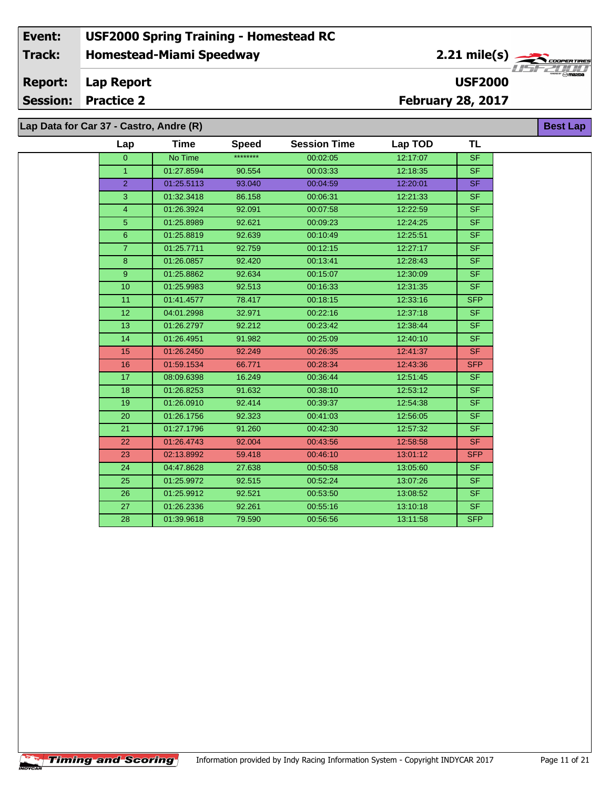### **Homestead-Miami Speedway Lap Report February 28, 2017 Event: USF2000 Spring Training - Homestead RC Track: Report: Session: Practice 2 USF2000** 2.21 mile(s) **Best Lap Lap Data for Car 37 - Castro, Andre (R)**

| Lap            | <b>Time</b> | <b>Speed</b> | <b>Session Time</b> | Lap TOD  | <b>TL</b>                |
|----------------|-------------|--------------|---------------------|----------|--------------------------|
| $\Omega$       | No Time     | ********     | 00:02:05            | 12:17:07 | <b>SF</b>                |
| $\mathbf{1}$   | 01:27.8594  | 90.554       | 00:03:33            | 12:18:35 | <b>SF</b>                |
| $\overline{2}$ | 01:25.5113  | 93.040       | 00:04:59            | 12:20:01 | <b>SF</b>                |
| 3              | 01:32.3418  | 86.158       | 00:06:31            | 12:21:33 | <b>SF</b>                |
| 4              | 01:26.3924  | 92.091       | 00:07:58            | 12:22:59 | <b>SF</b>                |
| 5              | 01:25.8989  | 92.621       | 00:09:23            | 12:24:25 | $\overline{\mathsf{SF}}$ |
| 6              | 01:25.8819  | 92.639       | 00:10:49            | 12:25:51 | <b>SF</b>                |
| $\overline{7}$ | 01:25.7711  | 92.759       | 00:12:15            | 12:27:17 | <b>SF</b>                |
| $\bf 8$        | 01:26.0857  | 92.420       | 00:13:41            | 12:28:43 | <b>SF</b>                |
| 9              | 01:25.8862  | 92.634       | 00:15:07            | 12:30:09 | <b>SF</b>                |
| 10             | 01:25.9983  | 92.513       | 00:16:33            | 12:31:35 | <b>SF</b>                |
| 11             | 01:41.4577  | 78.417       | 00:18:15            | 12:33:16 | <b>SFP</b>               |
| 12             | 04:01.2998  | 32.971       | 00:22:16            | 12:37:18 | <b>SF</b>                |
| 13             | 01:26.2797  | 92.212       | 00:23:42            | 12:38:44 | <b>SF</b>                |
| 14             | 01:26.4951  | 91.982       | 00:25:09            | 12:40:10 | <b>SF</b>                |
| 15             | 01:26.2450  | 92.249       | 00:26:35            | 12:41:37 | <b>SF</b>                |
| 16             | 01:59.1534  | 66.771       | 00:28:34            | 12:43:36 | <b>SFP</b>               |
| 17             | 08:09.6398  | 16.249       | 00:36:44            | 12:51:45 | <b>SF</b>                |
| 18             | 01:26.8253  | 91.632       | 00:38:10            | 12:53:12 | SF.                      |
| 19             | 01:26.0910  | 92.414       | 00:39:37            | 12:54:38 | <b>SF</b>                |
| 20             | 01:26.1756  | 92.323       | 00:41:03            | 12:56:05 | <b>SF</b>                |
| 21             | 01:27.1796  | 91.260       | 00:42:30            | 12:57:32 | <b>SF</b>                |
| 22             | 01:26.4743  | 92.004       | 00:43:56            | 12:58:58 | <b>SF</b>                |
| 23             | 02:13.8992  | 59.418       | 00:46:10            | 13:01:12 | <b>SFP</b>               |
| 24             | 04:47.8628  | 27.638       | 00:50:58            | 13:05:60 | SF                       |
| 25             | 01:25.9972  | 92.515       | 00:52:24            | 13:07:26 | SF.                      |
| 26             | 01:25.9912  | 92.521       | 00:53:50            | 13:08:52 | <b>SF</b>                |
| 27             | 01:26.2336  | 92.261       | 00:55:16            | 13:10:18 | <b>SF</b>                |
| 28             | 01:39.9618  | 79.590       | 00:56:56            | 13:11:58 | <b>SFP</b>               |

**Timing and Scoring** 

÷.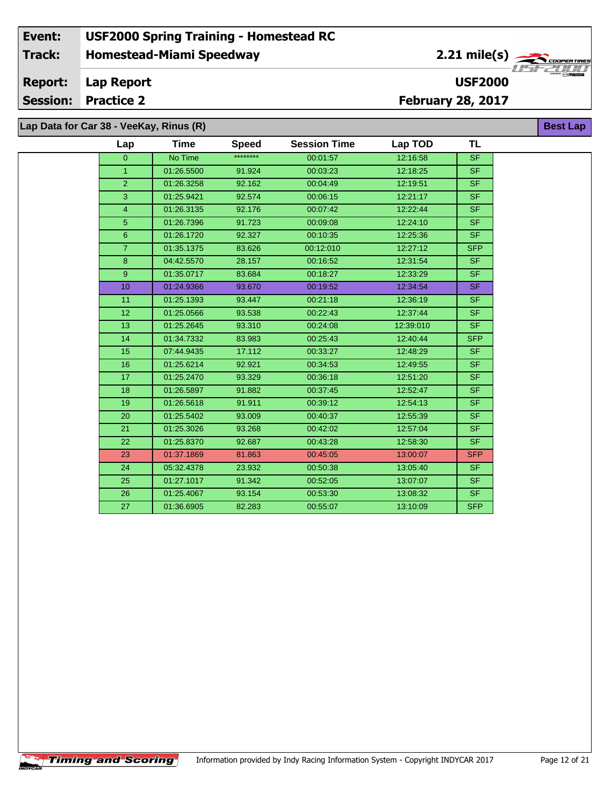**Lap Data for Car 38 - VeeKay, Rinus (R)**

**Timing and Scoring** 

÷.

| Lap             | Time       | <b>Speed</b> | <b>Session Time</b> | Lap TOD   | TL             |
|-----------------|------------|--------------|---------------------|-----------|----------------|
| $\overline{0}$  | No Time    | ********     | 00:01:57            | 12:16:58  | <b>SF</b>      |
| $\mathbf{1}$    | 01:26.5500 | 91.924       | 00:03:23            | 12:18:25  | <b>SF</b>      |
| $\overline{2}$  | 01:26.3258 | 92.162       | 00:04:49            | 12:19:51  | <b>SF</b>      |
| 3               | 01:25.9421 | 92.574       | 00:06:15            | 12:21:17  | <b>SF</b>      |
| $\overline{4}$  | 01:26.3135 | 92.176       | 00:07:42            | 12:22:44  | <b>SF</b>      |
| 5               | 01:26.7396 | 91.723       | 00:09:08            | 12:24:10  | SF.            |
| $6\phantom{1}$  | 01:26.1720 | 92.327       | 00:10:35            | 12:25:36  | S <sub>F</sub> |
| $\overline{7}$  | 01:35.1375 | 83.626       | 00:12:010           | 12:27:12  | <b>SFP</b>     |
| $\bf8$          | 04:42.5570 | 28.157       | 00:16:52            | 12:31:54  | <b>SF</b>      |
| 9               | 01:35.0717 | 83.684       | 00:18:27            | 12:33:29  | SF.            |
| 10              | 01:24.9366 | 93.670       | 00:19:52            | 12:34:54  | <b>SF</b>      |
| 11              | 01:25.1393 | 93.447       | 00:21:18            | 12:36:19  | SF.            |
| 12 <sup>2</sup> | 01:25.0566 | 93.538       | 00:22:43            | 12:37:44  | <b>SF</b>      |
| 13              | 01:25.2645 | 93.310       | 00:24:08            | 12:39:010 | SF.            |
| 14              | 01:34.7332 | 83.983       | 00:25:43            | 12:40:44  | <b>SFP</b>     |
| 15              | 07:44.9435 | 17.112       | 00:33:27            | 12:48:29  | SF.            |
| 16              | 01:25.6214 | 92.921       | 00:34:53            | 12:49:55  | <b>SF</b>      |
| 17              | 01:25.2470 | 93.329       | 00:36:18            | 12:51:20  | <b>SF</b>      |
| 18              | 01:26.5897 | 91.882       | 00:37:45            | 12:52:47  | <b>SF</b>      |
| 19              | 01:26.5618 | 91.911       | 00:39:12            | 12:54:13  | <b>SF</b>      |
| 20              | 01:25.5402 | 93.009       | 00:40:37            | 12:55:39  | <b>SF</b>      |
| 21              | 01:25.3026 | 93.268       | 00:42:02            | 12:57:04  | SF.            |
| 22              | 01:25.8370 | 92.687       | 00:43:28            | 12:58:30  | <b>SF</b>      |
| 23              | 01:37.1869 | 81.863       | 00:45:05            | 13:00:07  | <b>SFP</b>     |
| 24              | 05:32.4378 | 23.932       | 00:50:38            | 13:05:40  | <b>SF</b>      |
| 25              | 01:27.1017 | 91.342       | 00:52:05            | 13:07:07  | <b>SF</b>      |
| 26              | 01:25.4067 | 93.154       | 00:53:30            | 13:08:32  | <b>SF</b>      |
| 27              | 01:36.6905 | 82.283       | 00:55:07            | 13:10:09  | <b>SFP</b>     |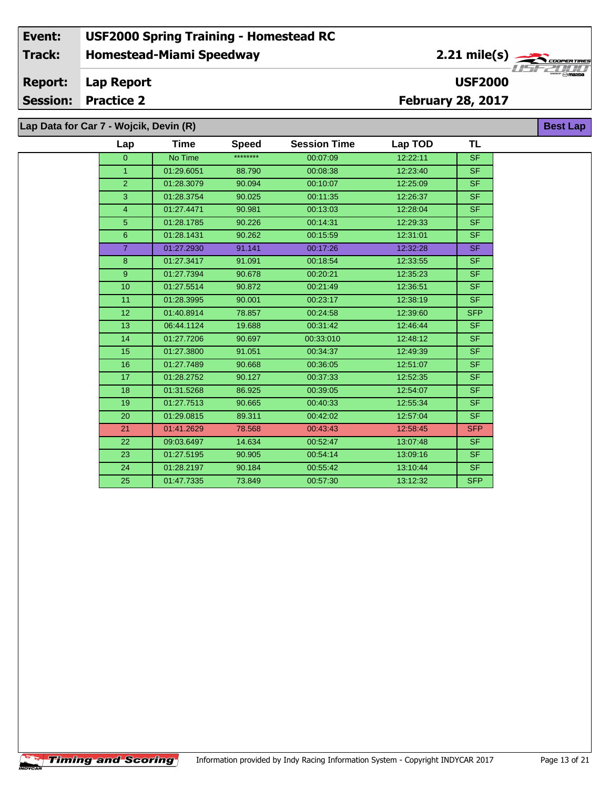#### **Event: USF2000 Spring Training - Homestead RC 2.21 mile(s) Track: Homestead-Miami Speedway** .<br>COOPERTIRE **OOPER TIRE**<br>Max<sub>o</sub>maxba **Report: Lap Report USF2000 Session: Practice 2 February 28, 2017 Lap Data for Car 7 - Wojcik, Devin (R) Best Lap**

| Lap              | Time       | <b>Speed</b> | <b>Session Time</b> | Lap TOD  | <b>TL</b>  |
|------------------|------------|--------------|---------------------|----------|------------|
| $\overline{0}$   | No Time    | ********     | 00:07:09            | 12:22:11 | <b>SF</b>  |
| 1.               | 01:29.6051 | 88.790       | 00:08:38            | 12:23:40 | <b>SF</b>  |
| $\overline{2}$   | 01:28.3079 | 90.094       | 00:10:07            | 12:25:09 | <b>SF</b>  |
| 3                | 01:28.3754 | 90.025       | 00:11:35            | 12:26:37 | <b>SF</b>  |
| $\overline{4}$   | 01:27.4471 | 90.981       | 00:13:03            | 12:28:04 | <b>SF</b>  |
| $\overline{5}$   | 01:28.1785 | 90.226       | 00:14:31            | 12:29:33 | <b>SF</b>  |
| $6\phantom{1}$   | 01:28.1431 | 90.262       | 00:15:59            | 12:31:01 | <b>SF</b>  |
| $\overline{7}$   | 01:27.2930 | 91.141       | 00:17:26            | 12:32:28 | <b>SF</b>  |
| 8                | 01:27.3417 | 91.091       | 00:18:54            | 12:33:55 | <b>SF</b>  |
| $\overline{9}$   | 01:27.7394 | 90.678       | 00:20:21            | 12:35:23 | <b>SF</b>  |
| 10 <sup>10</sup> | 01:27.5514 | 90.872       | 00:21:49            | 12:36:51 | <b>SF</b>  |
| 11               | 01:28.3995 | 90.001       | 00:23:17            | 12:38:19 | <b>SF</b>  |
| 12 <sub>2</sub>  | 01:40.8914 | 78.857       | 00:24:58            | 12:39:60 | <b>SFP</b> |
| 13               | 06:44.1124 | 19.688       | 00:31:42            | 12:46:44 | <b>SF</b>  |
| 14               | 01:27.7206 | 90.697       | 00:33:010           | 12:48:12 | <b>SF</b>  |
| 15               | 01:27.3800 | 91.051       | 00:34:37            | 12:49:39 | <b>SF</b>  |
| 16               | 01:27.7489 | 90.668       | 00:36:05            | 12:51:07 | <b>SF</b>  |
| 17               | 01:28.2752 | 90.127       | 00:37:33            | 12:52:35 | <b>SF</b>  |
| 18               | 01:31.5268 | 86.925       | 00:39:05            | 12:54:07 | <b>SF</b>  |
| 19               | 01:27.7513 | 90.665       | 00:40:33            | 12:55:34 | <b>SF</b>  |
| 20               | 01:29.0815 | 89.311       | 00:42:02            | 12:57:04 | <b>SF</b>  |
| 21               | 01:41.2629 | 78.568       | 00:43:43            | 12:58:45 | <b>SFP</b> |
| 22               | 09:03.6497 | 14.634       | 00:52:47            | 13:07:48 | <b>SF</b>  |
| 23               | 01:27.5195 | 90.905       | 00:54:14            | 13:09:16 | <b>SF</b>  |
| 24               | 01:28.2197 | 90.184       | 00:55:42            | 13:10:44 | <b>SF</b>  |
| 25               | 01:47.7335 | 73.849       | 00:57:30            | 13:12:32 | <b>SFP</b> |
|                  |            |              |                     |          |            |

 $\sqrt{\textbf{T}}$ iming and Scoring $\sqrt{\textbf{S}}$ 

CAR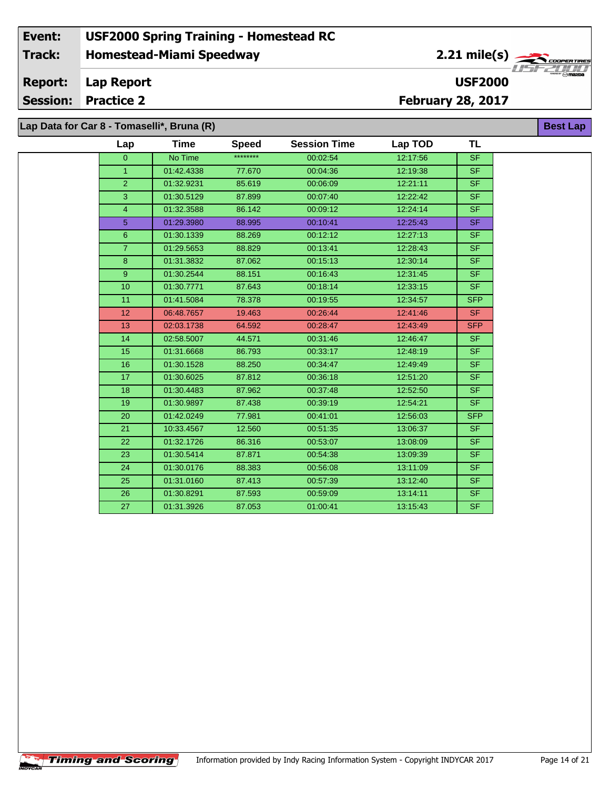**Lap Data for Car 8 - Tomaselli\*, Bruna (R)**

**Timing and Scoring** 

÷.

| Lap             | Time       | <b>Speed</b> | <b>Session Time</b> | Lap TOD  | TL                       |
|-----------------|------------|--------------|---------------------|----------|--------------------------|
| $\overline{0}$  | No Time    | ********     | 00:02:54            | 12:17:56 | <b>SF</b>                |
| $\mathbf{1}$    | 01:42.4338 | 77.670       | 00:04:36            | 12:19:38 | SF.                      |
| $\overline{2}$  | 01:32.9231 | 85.619       | 00:06:09            | 12:21:11 | <b>SF</b>                |
| 3               | 01:30.5129 | 87.899       | 00:07:40            | 12:22:42 | SF.                      |
| $\overline{4}$  | 01:32.3588 | 86.142       | 00:09:12            | 12:24:14 | <b>SF</b>                |
| 5 <sup>5</sup>  | 01:29.3980 | 88.995       | 00:10:41            | 12:25:43 | SF.                      |
| 6 <sup>°</sup>  | 01:30.1339 | 88.269       | 00:12:12            | 12:27:13 | <b>SF</b>                |
| $\overline{7}$  | 01:29.5653 | 88.829       | 00:13:41            | 12:28:43 | SF.                      |
| 8               | 01:31.3832 | 87.062       | 00:15:13            | 12:30:14 | <b>SF</b>                |
| 9 <sup>°</sup>  | 01:30.2544 | 88.151       | 00:16:43            | 12:31:45 | SF.                      |
| 10 <sub>1</sub> | 01:30.7771 | 87.643       | 00:18:14            | 12:33:15 | <b>SF</b>                |
| 11              | 01:41.5084 | 78.378       | 00:19:55            | 12:34:57 | <b>SFP</b>               |
| 12 <sup>2</sup> | 06:48.7657 | 19.463       | 00:26:44            | 12:41:46 | SF.                      |
| 13 <sup>°</sup> | 02:03.1738 | 64.592       | 00:28:47            | 12:43:49 | <b>SFP</b>               |
| 14              | 02:58.5007 | 44.571       | 00:31:46            | 12:46:47 | <b>SF</b>                |
| 15              | 01:31.6668 | 86.793       | 00:33:17            | 12:48:19 | <b>SF</b>                |
| 16              | 01:30.1528 | 88.250       | 00:34:47            | 12:49:49 | <b>SF</b>                |
| 17              | 01:30.6025 | 87.812       | 00:36:18            | 12:51:20 | <b>SF</b>                |
| 18              | 01:30.4483 | 87.962       | 00:37:48            | 12:52:50 | <b>SF</b>                |
| 19              | 01:30.9897 | 87.438       | 00:39:19            | 12:54:21 | <b>SF</b>                |
| 20              | 01:42.0249 | 77.981       | 00:41:01            | 12:56:03 | <b>SFP</b>               |
| 21              | 10:33.4567 | 12.560       | 00:51:35            | 13:06:37 | <b>SF</b>                |
| 22              | 01:32.1726 | 86.316       | 00:53:07            | 13:08:09 | <b>SF</b>                |
| 23              | 01:30.5414 | 87.871       | 00:54:38            | 13:09:39 | <b>SF</b>                |
| 24              | 01:30.0176 | 88.383       | 00:56:08            | 13:11:09 | <b>SF</b>                |
| 25              | 01:31.0160 | 87.413       | 00:57:39            | 13:12:40 | <b>SF</b>                |
| 26              | 01:30.8291 | 87.593       | 00:59:09            | 13:14:11 | <b>SF</b>                |
| 27              | 01:31.3926 | 87.053       | 01:00:41            | 13:15:43 | $\overline{\mathsf{SF}}$ |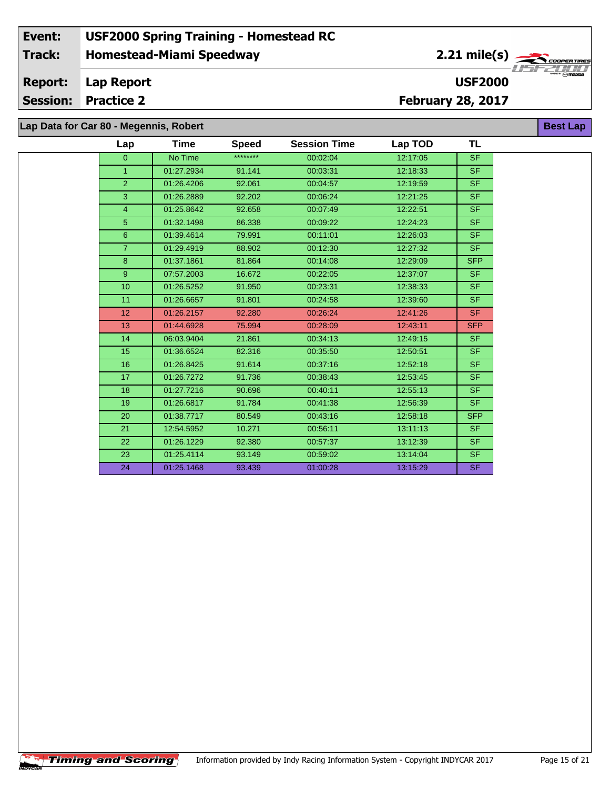**Lap Data for Car 80 - Megennis, Robert**

| Lap             | Time       | <b>Speed</b> | <b>Session Time</b> | Lap TOD  | TL         |
|-----------------|------------|--------------|---------------------|----------|------------|
| $\overline{0}$  | No Time    | ********     | 00:02:04            | 12:17:05 | <b>SF</b>  |
| $\mathbf{1}$    | 01:27.2934 | 91.141       | 00:03:31            | 12:18:33 | SF.        |
| $\overline{2}$  | 01:26.4206 | 92.061       | 00:04:57            | 12:19:59 | <b>SF</b>  |
| 3               | 01:26.2889 | 92.202       | 00:06:24            | 12:21:25 | <b>SF</b>  |
| $\overline{4}$  | 01:25.8642 | 92.658       | 00:07:49            | 12:22:51 | <b>SF</b>  |
| 5               | 01:32.1498 | 86.338       | 00:09:22            | 12:24:23 | SF.        |
| 6               | 01:39.4614 | 79.991       | 00:11:01            | 12:26:03 | SF.        |
| $\overline{7}$  | 01:29.4919 | 88.902       | 00:12:30            | 12:27:32 | <b>SF</b>  |
| $\bf{8}$        | 01:37.1861 | 81.864       | 00:14:08            | 12:29:09 | <b>SFP</b> |
| 9 <sup>°</sup>  | 07:57.2003 | 16.672       | 00:22:05            | 12:37:07 | SF.        |
| 10              | 01:26.5252 | 91.950       | 00:23:31            | 12:38:33 | SF.        |
| 11              | 01:26.6657 | 91.801       | 00:24:58            | 12:39:60 | SF.        |
| 12 <sup>2</sup> | 01:26.2157 | 92.280       | 00:26:24            | 12:41:26 | <b>SF</b>  |
| 13              | 01:44.6928 | 75.994       | 00:28:09            | 12:43:11 | <b>SFP</b> |
| 14              | 06:03.9404 | 21.861       | 00:34:13            | 12:49:15 | SF.        |
| 15              | 01:36.6524 | 82.316       | 00:35:50            | 12:50:51 | <b>SF</b>  |
| 16              | 01:26.8425 | 91.614       | 00:37:16            | 12:52:18 | <b>SF</b>  |
| 17              | 01:26.7272 | 91.736       | 00:38:43            | 12:53:45 | <b>SF</b>  |
| 18              | 01:27.7216 | 90.696       | 00:40:11            | 12:55:13 | SF.        |
| 19              | 01:26.6817 | 91.784       | 00:41:38            | 12:56:39 | SF.        |
| 20              | 01:38.7717 | 80.549       | 00:43:16            | 12:58:18 | <b>SFP</b> |
| 21              | 12:54.5952 | 10.271       | 00:56:11            | 13:11:13 | SF.        |
| 22              | 01:26.1229 | 92.380       | 00:57:37            | 13:12:39 | SF.        |
| 23              | 01:25.4114 | 93.149       | 00:59:02            | 13:14:04 | <b>SF</b>  |
| 24              | 01:25.1468 | 93.439       | 01:00:28            | 13:15:29 | <b>SF</b>  |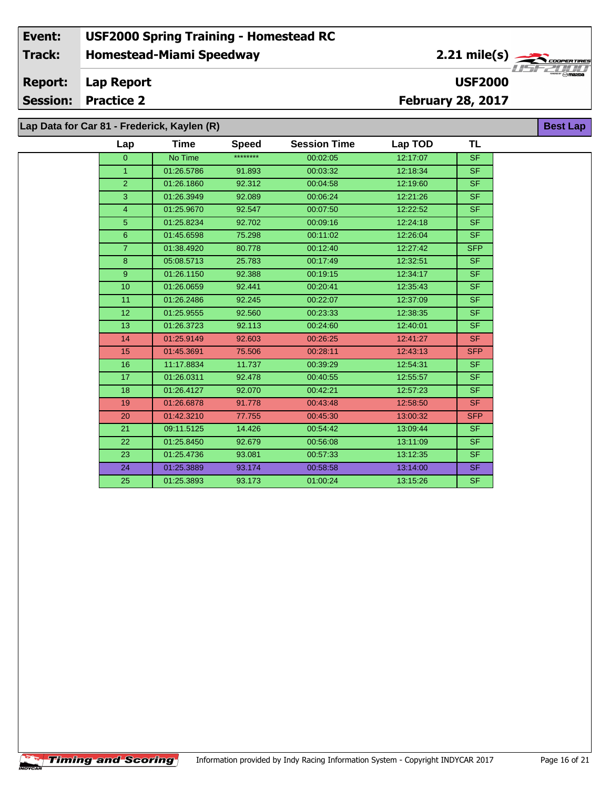#### **Homestead-Miami Speedway Lap Report Event: USF2000 Spring Training - Homestead RC Track: Report: USF2000** 2.21 mile(s)

**Session: Practice 2**

**February 28, 2017**

**Best Lap**

**Lap Data for Car 81 - Frederick, Kaylen (R)**

| Lap             | Time       | <b>Speed</b> | <b>Session Time</b> | Lap TOD  | TL         |
|-----------------|------------|--------------|---------------------|----------|------------|
| $\overline{0}$  | No Time    | ********     | 00:02:05            | 12:17:07 | <b>SF</b>  |
| $\mathbf{1}$    | 01:26.5786 | 91.893       | 00:03:32            | 12:18:34 | SF.        |
| $\overline{2}$  | 01:26.1860 | 92.312       | 00:04:58            | 12:19:60 | SF.        |
| 3               | 01:26.3949 | 92.089       | 00:06:24            | 12:21:26 | SF.        |
| 4               | 01:25.9670 | 92.547       | 00:07:50            | 12:22:52 | SF.        |
| 5               | 01:25.8234 | 92.702       | 00:09:16            | 12:24:18 | SF.        |
| 6               | 01:45.6598 | 75.298       | 00:11:02            | 12:26:04 | SF.        |
| $\overline{7}$  | 01:38.4920 | 80.778       | 00:12:40            | 12:27:42 | SFP        |
| 8               | 05:08.5713 | 25.783       | 00:17:49            | 12:32:51 | <b>SF</b>  |
| 9 <sup>°</sup>  | 01:26.1150 | 92.388       | 00:19:15            | 12:34:17 | SF.        |
| 10              | 01:26.0659 | 92.441       | 00:20:41            | 12:35:43 | SF.        |
| 11              | 01:26.2486 | 92.245       | 00:22:07            | 12:37:09 | SF.        |
| 12 <sub>2</sub> | 01:25.9555 | 92.560       | 00:23:33            | 12:38:35 | SF.        |
| 13              | 01:26.3723 | 92.113       | 00:24:60            | 12:40:01 | SF.        |
| 14              | 01:25.9149 | 92.603       | 00:26:25            | 12:41:27 | SF.        |
| 15              | 01:45.3691 | 75.506       | 00:28:11            | 12:43:13 | <b>SFP</b> |
| 16              | 11:17.8834 | 11.737       | 00:39:29            | 12:54:31 | SF.        |
| 17              | 01:26.0311 | 92.478       | 00:40:55            | 12:55:57 | SF.        |
| 18              | 01:26.4127 | 92.070       | 00:42:21            | 12:57:23 | SF.        |
| 19              | 01:26.6878 | 91.778       | 00:43:48            | 12:58:50 | <b>SF</b>  |
| 20              | 01:42.3210 | 77.755       | 00:45:30            | 13:00:32 | <b>SFP</b> |
| 21              | 09:11.5125 | 14.426       | 00:54:42            | 13:09:44 | SF.        |
| 22              | 01:25.8450 | 92.679       | 00:56:08            | 13:11:09 | SF.        |
| 23              | 01:25.4736 | 93.081       | 00:57:33            | 13:12:35 | SF.        |
| 24              | 01:25.3889 | 93.174       | 00:58:58            | 13:14:00 | SF.        |
| 25              | 01:25.3893 | 93.173       | 01:00:24            | 13:15:26 | SF.        |
|                 |            |              |                     |          |            |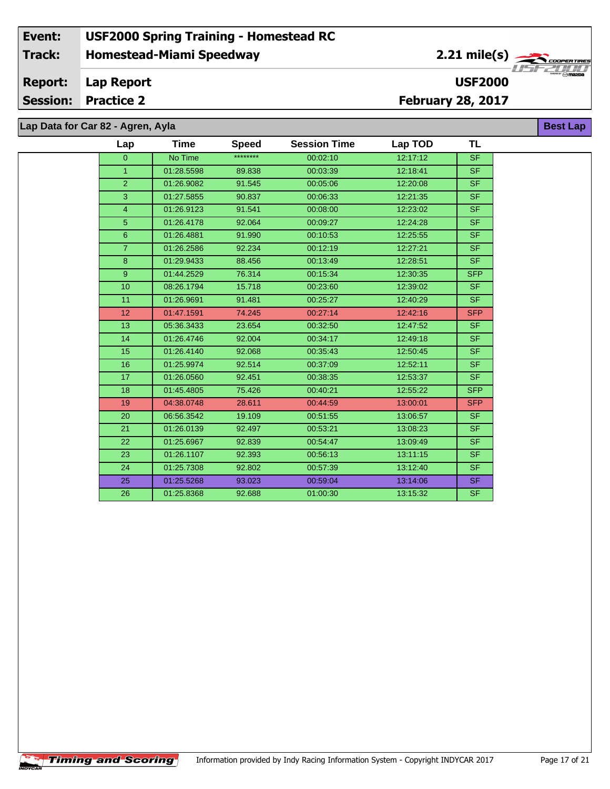# **Lap Data for Car 82 - Agren, Ayla**

 $\overline{\phantom{a}}$ 

| Lap             | Time       | <b>Speed</b> | <b>Session Time</b> | Lap TOD  | TL         |
|-----------------|------------|--------------|---------------------|----------|------------|
| $\overline{0}$  | No Time    | ********     | 00:02:10            | 12:17:12 | <b>SF</b>  |
| $\mathbf{1}$    | 01:28.5598 | 89.838       | 00:03:39            | 12:18:41 | <b>SF</b>  |
| $\overline{2}$  | 01:26.9082 | 91.545       | 00:05:06            | 12:20:08 | <b>SF</b>  |
| 3               | 01:27.5855 | 90.837       | 00:06:33            | 12:21:35 | <b>SF</b>  |
| $\overline{4}$  | 01:26.9123 | 91.541       | 00:08:00            | 12:23:02 | <b>SF</b>  |
| 5               | 01:26.4178 | 92.064       | 00:09:27            | 12:24:28 | <b>SF</b>  |
| $6\phantom{1}$  | 01:26.4881 | 91.990       | 00:10:53            | 12:25:55 | <b>SF</b>  |
| $\overline{7}$  | 01:26.2586 | 92.234       | 00:12:19            | 12:27:21 | <b>SF</b>  |
| 8               | 01:29.9433 | 88.456       | 00:13:49            | 12:28:51 | <b>SF</b>  |
| 9               | 01:44.2529 | 76.314       | 00:15:34            | 12:30:35 | <b>SFP</b> |
| 10              | 08:26.1794 | 15.718       | 00:23:60            | 12:39:02 | <b>SF</b>  |
| 11              | 01:26.9691 | 91.481       | 00:25:27            | 12:40:29 | <b>SF</b>  |
| 12 <sup>2</sup> | 01:47.1591 | 74.245       | 00:27:14            | 12:42:16 | <b>SFP</b> |
| 13              | 05:36.3433 | 23.654       | 00:32:50            | 12:47:52 | <b>SF</b>  |
| 14              | 01:26.4746 | 92.004       | 00:34:17            | 12:49:18 | <b>SF</b>  |
| 15              | 01:26.4140 | 92.068       | 00:35:43            | 12:50:45 | <b>SF</b>  |
| 16              | 01:25.9974 | 92.514       | 00:37:09            | 12:52:11 | <b>SF</b>  |
| 17              | 01:26.0560 | 92.451       | 00:38:35            | 12:53:37 | <b>SF</b>  |
| 18              | 01:45.4805 | 75.426       | 00:40:21            | 12:55:22 | <b>SFP</b> |
| 19              | 04:38.0748 | 28.611       | 00:44:59            | 13:00:01 | <b>SFP</b> |
| 20              | 06:56.3542 | 19.109       | 00:51:55            | 13:06:57 | <b>SF</b>  |
| 21              | 01:26.0139 | 92.497       | 00:53:21            | 13:08:23 | <b>SF</b>  |
| 22              | 01:25.6967 | 92.839       | 00:54:47            | 13:09:49 | <b>SF</b>  |
| 23              | 01:26.1107 | 92.393       | 00:56:13            | 13:11:15 | <b>SF</b>  |
| 24              | 01:25.7308 | 92.802       | 00:57:39            | 13:12:40 | <b>SF</b>  |
| 25              | 01:25.5268 | 93.023       | 00:59:04            | 13:14:06 | <b>SF</b>  |
| 26              | 01:25.8368 | 92.688       | 01:00:30            | 13:15:32 | <b>SF</b>  |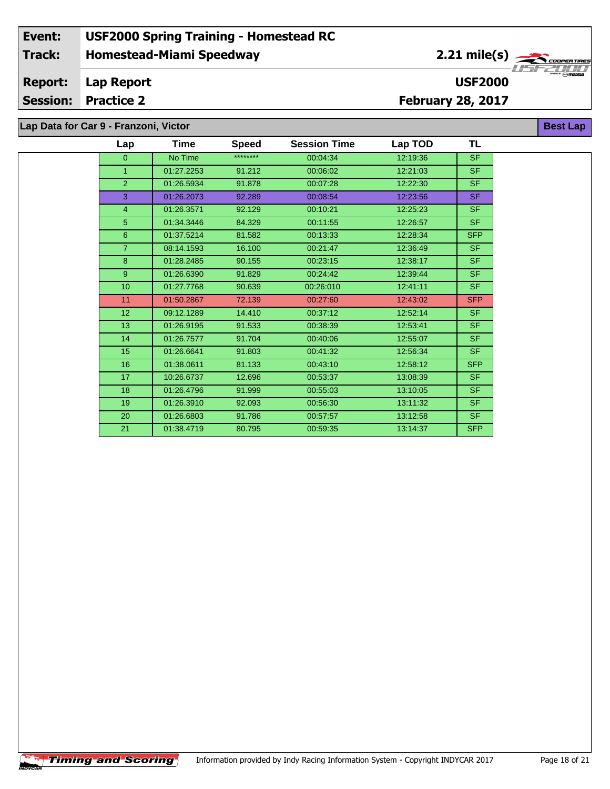**Lap Data for Car 9 - Franzoni, Victor**

| Lap            | <b>Time</b> | <b>Speed</b> | <b>Session Time</b> | Lap TOD  | <b>TL</b>  |
|----------------|-------------|--------------|---------------------|----------|------------|
| $\overline{0}$ | No Time     | ********     | 00:04:34            | 12:19:36 | <b>SF</b>  |
| $\mathbf{1}$   | 01:27.2253  | 91.212       | 00:06:02            | 12:21:03 | <b>SF</b>  |
| $\overline{2}$ | 01:26.5934  | 91.878       | 00:07:28            | 12:22:30 | <b>SF</b>  |
| 3              | 01:26.2073  | 92.289       | 00:08:54            | 12:23:56 | <b>SF</b>  |
| $\overline{4}$ | 01:26.3571  | 92.129       | 00:10:21            | 12:25:23 | <b>SF</b>  |
| $5\phantom{.}$ | 01:34.3446  | 84.329       | 00:11:55            | 12:26:57 | <b>SF</b>  |
| $6\phantom{1}$ | 01:37.5214  | 81.582       | 00:13:33            | 12:28:34 | <b>SFP</b> |
| $\overline{7}$ | 08:14.1593  | 16.100       | 00:21:47            | 12:36:49 | <b>SF</b>  |
| 8              | 01:28.2485  | 90.155       | 00:23:15            | 12:38:17 | <b>SF</b>  |
| 9              | 01:26.6390  | 91.829       | 00:24:42            | 12:39:44 | <b>SF</b>  |
| 10             | 01:27.7768  | 90.639       | 00:26:010           | 12:41:11 | <b>SF</b>  |
| 11             | 01:50.2867  | 72.139       | 00:27:60            | 12:43:02 | <b>SFP</b> |
| 12             | 09:12.1289  | 14.410       | 00:37:12            | 12:52:14 | <b>SF</b>  |
| 13             | 01:26.9195  | 91.533       | 00:38:39            | 12:53:41 | <b>SF</b>  |
| 14             | 01:26.7577  | 91.704       | 00:40:06            | 12:55:07 | <b>SF</b>  |
| 15             | 01:26.6641  | 91.803       | 00:41:32            | 12:56:34 | <b>SF</b>  |
| 16             | 01:38.0611  | 81.133       | 00:43:10            | 12:58:12 | <b>SFP</b> |
| 17             | 10:26.6737  | 12.696       | 00:53:37            | 13:08:39 | <b>SF</b>  |
| 18             | 01:26.4796  | 91.999       | 00:55:03            | 13:10:05 | <b>SF</b>  |
| 19             | 01:26.3910  | 92.093       | 00:56:30            | 13:11:32 | <b>SF</b>  |
| 20             | 01:26.6803  | 91.786       | 00:57:57            | 13:12:58 | <b>SF</b>  |
| 21             | 01:38.4719  | 80.795       | 00:59:35            | 13:14:37 | <b>SFP</b> |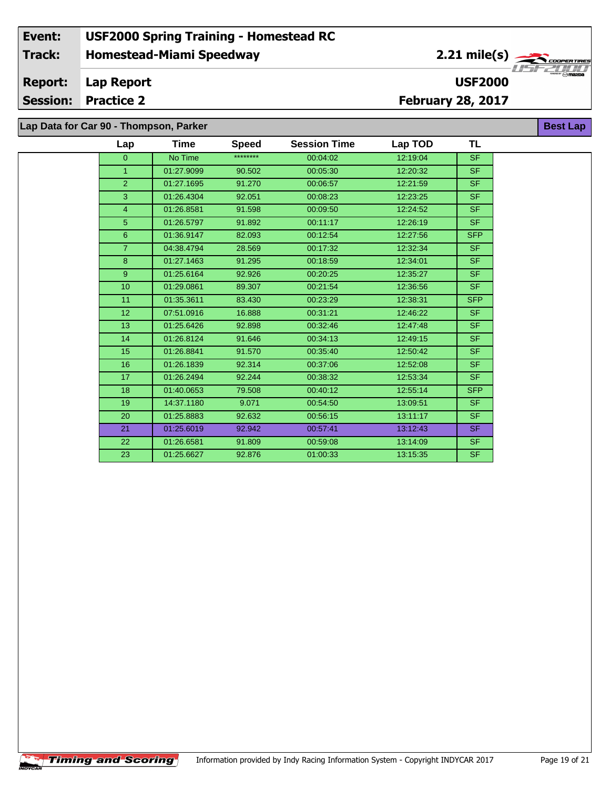**Lap Data for Car 90 - Thompson, Parker**

| Lap             | Time       | <b>Speed</b> | <b>Session Time</b> | Lap TOD  | <b>TL</b>  |
|-----------------|------------|--------------|---------------------|----------|------------|
| $\overline{0}$  | No Time    | ********     | 00:04:02            | 12:19:04 | <b>SF</b>  |
| $\mathbf{1}$    | 01:27.9099 | 90.502       | 00:05:30            | 12:20:32 | <b>SF</b>  |
| $\overline{2}$  | 01:27.1695 | 91.270       | 00:06:57            | 12:21:59 | <b>SF</b>  |
| 3               | 01:26.4304 | 92.051       | 00:08:23            | 12:23:25 | <b>SF</b>  |
| 4               | 01:26.8581 | 91.598       | 00:09:50            | 12:24:52 | <b>SF</b>  |
| 5               | 01:26.5797 | 91.892       | 00:11:17            | 12:26:19 | <b>SF</b>  |
| $6\phantom{1}$  | 01:36.9147 | 82.093       | 00:12:54            | 12:27:56 | <b>SFP</b> |
| $\overline{7}$  | 04:38.4794 | 28.569       | 00:17:32            | 12:32:34 | <b>SF</b>  |
| 8               | 01:27.1463 | 91.295       | 00:18:59            | 12:34:01 | <b>SF</b>  |
| 9 <sup>°</sup>  | 01:25.6164 | 92.926       | 00:20:25            | 12:35:27 | <b>SF</b>  |
| 10              | 01:29.0861 | 89.307       | 00:21:54            | 12:36:56 | <b>SF</b>  |
| 11              | 01:35.3611 | 83.430       | 00:23:29            | 12:38:31 | <b>SFP</b> |
| 12 <sup>2</sup> | 07:51.0916 | 16.888       | 00:31:21            | 12:46:22 | <b>SF</b>  |
| 13              | 01:25.6426 | 92.898       | 00:32:46            | 12:47:48 | <b>SF</b>  |
| 14              | 01:26.8124 | 91.646       | 00:34:13            | 12:49:15 | <b>SF</b>  |
| 15              | 01:26.8841 | 91.570       | 00:35:40            | 12:50:42 | <b>SF</b>  |
| 16              | 01:26.1839 | 92.314       | 00:37:06            | 12:52:08 | <b>SF</b>  |
| 17              | 01:26.2494 | 92.244       | 00:38:32            | 12:53:34 | <b>SF</b>  |
| 18              | 01:40.0653 | 79.508       | 00:40:12            | 12:55:14 | <b>SFP</b> |
| 19              | 14:37.1180 | 9.071        | 00:54:50            | 13:09:51 | <b>SF</b>  |
| 20              | 01:25.8883 | 92.632       | 00:56:15            | 13:11:17 | <b>SF</b>  |
| 21              | 01:25.6019 | 92.942       | 00:57:41            | 13:12:43 | <b>SF</b>  |
| 22              | 01:26.6581 | 91.809       | 00:59:08            | 13:14:09 | <b>SF</b>  |
| 23              | 01:25.6627 | 92.876       | 01:00:33            | 13:15:35 | <b>SF</b>  |

 $\overline{\phantom{a}}$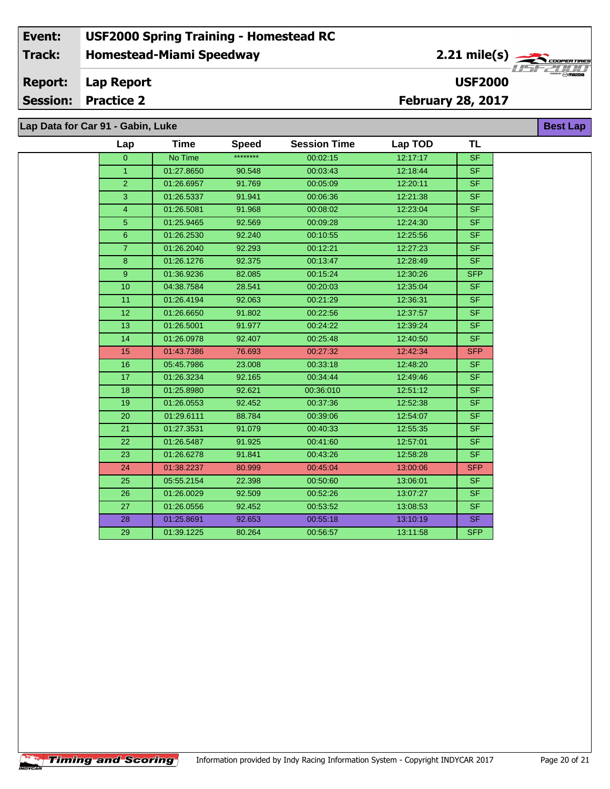**Lap Data for Car 91 - Gabin, Luke**

÷.

| Lap             | <b>Time</b> | <b>Speed</b> | <b>Session Time</b> | Lap TOD  | <b>TL</b>                |
|-----------------|-------------|--------------|---------------------|----------|--------------------------|
| $\overline{0}$  | No Time     | ********     | 00:02:15            | 12:17:17 | <b>SF</b>                |
| $\mathbf{1}$    | 01:27.8650  | 90.548       | 00:03:43            | 12:18:44 | <b>SF</b>                |
| $\overline{2}$  | 01:26.6957  | 91.769       | 00:05:09            | 12:20:11 | <b>SF</b>                |
| 3               | 01:26.5337  | 91.941       | 00:06:36            | 12:21:38 | <b>SF</b>                |
| $\overline{4}$  | 01:26.5081  | 91.968       | 00:08:02            | 12:23:04 | $\overline{\mathsf{SF}}$ |
| 5               | 01:25.9465  | 92.569       | 00:09:28            | 12:24:30 | <b>SF</b>                |
| $6\phantom{.}$  | 01:26.2530  | 92.240       | 00:10:55            | 12:25:56 | <b>SF</b>                |
| $\overline{7}$  | 01:26.2040  | 92.293       | 00:12:21            | 12:27:23 | SF                       |
| 8               | 01:26.1276  | 92.375       | 00:13:47            | 12:28:49 | SF.                      |
| 9               | 01:36.9236  | 82.085       | 00:15:24            | 12:30:26 | <b>SFP</b>               |
| 10              | 04:38.7584  | 28.541       | 00:20:03            | 12:35:04 | <b>SF</b>                |
| 11              | 01:26.4194  | 92.063       | 00:21:29            | 12:36:31 | SF.                      |
| 12 <sup>2</sup> | 01:26.6650  | 91.802       | 00:22:56            | 12:37:57 | <b>SF</b>                |
| 13              | 01:26.5001  | 91.977       | 00:24:22            | 12:39:24 | $\overline{\mathsf{SF}}$ |
| 14              | 01:26.0978  | 92.407       | 00:25:48            | 12:40:50 | <b>SF</b>                |
| 15              | 01:43.7386  | 76.693       | 00:27:32            | 12:42:34 | <b>SFP</b>               |
| 16              | 05:45.7986  | 23.008       | 00:33:18            | 12:48:20 | <b>SF</b>                |
| 17              | 01:26.3234  | 92.165       | 00:34:44            | 12:49:46 | <b>SF</b>                |
| 18              | 01:25.8980  | 92.621       | 00:36:010           | 12:51:12 | <b>SF</b>                |
| 19              | 01:26.0553  | 92.452       | 00:37:36            | 12:52:38 | SF.                      |
| 20              | 01:29.6111  | 88.784       | 00:39:06            | 12:54:07 | $\overline{\mathsf{SF}}$ |
| 21              | 01:27.3531  | 91.079       | 00:40:33            | 12:55:35 | <b>SF</b>                |
| 22              | 01:26.5487  | 91.925       | 00:41:60            | 12:57:01 | SF                       |
| 23              | 01:26.6278  | 91.841       | 00:43:26            | 12:58:28 | SF                       |
| 24              | 01:38.2237  | 80.999       | 00:45:04            | 13:00:06 | <b>SFP</b>               |
| 25              | 05:55.2154  | 22.398       | 00:50:60            | 13:06:01 | <b>SF</b>                |
| 26              | 01:26.0029  | 92.509       | 00:52:26            | 13:07:27 | <b>SF</b>                |
| 27              | 01:26.0556  | 92.452       | 00:53:52            | 13:08:53 | <b>SF</b>                |
| 28              | 01:25.8691  | 92.653       | 00:55:18            | 13:10:19 | SF.                      |
| 29              | 01:39.1225  | 80.264       | 00:56:57            | 13:11:58 | <b>SFP</b>               |